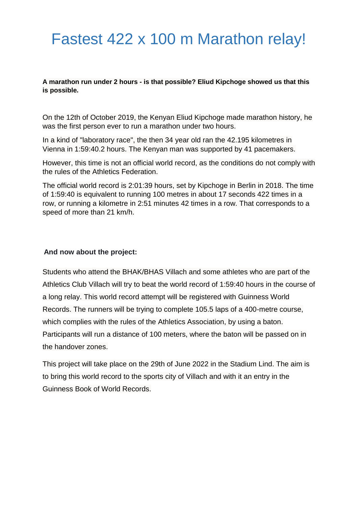# Fastest 422 x 100 m Marathon relay!

#### **A marathon run under 2 hours - is that possible? Eliud Kipchoge showed us that this is possible.**

On the 12th of October 2019, the Kenyan Eliud Kipchoge made marathon history, he was the first person ever to run a marathon under two hours.

In a kind of "laboratory race", the then 34 year old ran the 42.195 kilometres in Vienna in 1:59:40.2 hours. The Kenyan man was supported by 41 pacemakers.

However, this time is not an official world record, as the conditions do not comply with the rules of the Athletics Federation.

The official world record is 2:01:39 hours, set by Kipchoge in Berlin in 2018. The time of 1:59:40 is equivalent to running 100 metres in about 17 seconds 422 times in a row, or running a kilometre in 2:51 minutes 42 times in a row. That corresponds to a speed of more than 21 km/h.

#### **And now about the project:**

Students who attend the BHAK/BHAS Villach and some athletes who are part of the Athletics Club Villach will try to beat the world record of 1:59:40 hours in the course of a long relay. This world record attempt will be registered with Guinness World Records. The runners will be trying to complete 105.5 laps of a 400-metre course, which complies with the rules of the Athletics Association, by using a baton. Participants will run a distance of 100 meters, where the baton will be passed on in the handover zones.

This project will take place on the 29th of June 2022 in the Stadium Lind. The aim is to bring this world record to the sports city of Villach and with it an entry in the Guinness Book of World Records.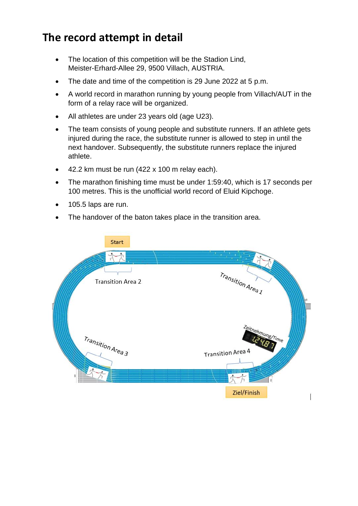## **The record attempt in detail**

- The location of this competition will be the Stadion Lind, Meister-Erhard-Allee 29, 9500 Villach, AUSTRIA.
- The date and time of the competition is 29 June 2022 at 5 p.m.
- A world record in marathon running by young people from Villach/AUT in the form of a relay race will be organized.
- All athletes are under 23 years old (age U23).
- The team consists of young people and substitute runners. If an athlete gets injured during the race, the substitute runner is allowed to step in until the next handover. Subsequently, the substitute runners replace the injured athlete.
- 42.2 km must be run (422 x 100 m relay each).
- The marathon finishing time must be under 1:59:40, which is 17 seconds per 100 metres. This is the unofficial world record of Eluid Kipchoge.
- 105.5 laps are run.
- The handover of the baton takes place in the transition area.